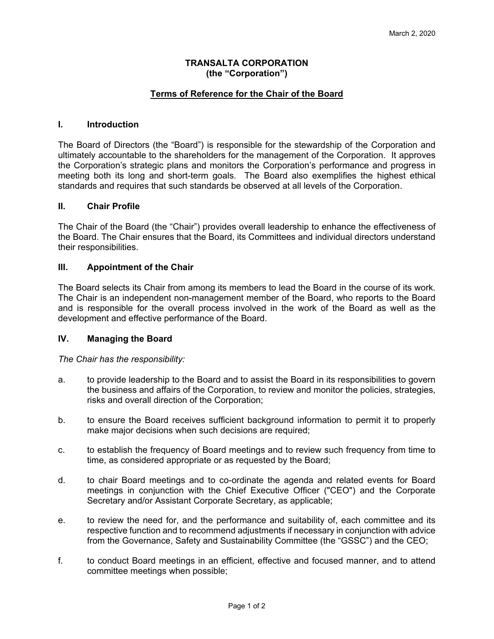# **TRANSALTA CORPORATION (the "Corporation")**

# **Terms of Reference for the Chair of the Board**

# **I. Introduction**

The Board of Directors (the "Board") is responsible for the stewardship of the Corporation and ultimately accountable to the shareholders for the management of the Corporation. It approves the Corporation's strategic plans and monitors the Corporation's performance and progress in meeting both its long and short-term goals. The Board also exemplifies the highest ethical standards and requires that such standards be observed at all levels of the Corporation.

#### **II. Chair Profile**

The Chair of the Board (the "Chair") provides overall leadership to enhance the effectiveness of the Board. The Chair ensures that the Board, its Committees and individual directors understand their responsibilities.

#### **III. Appointment of the Chair**

The Board selects its Chair from among its members to lead the Board in the course of its work. The Chair is an independent non-management member of the Board, who reports to the Board and is responsible for the overall process involved in the work of the Board as well as the development and effective performance of the Board.

# **IV. Managing the Board**

*The Chair has the responsibility:* 

- a. to provide leadership to the Board and to assist the Board in its responsibilities to govern the business and affairs of the Corporation, to review and monitor the policies, strategies, risks and overall direction of the Corporation;
- b. to ensure the Board receives sufficient background information to permit it to properly make major decisions when such decisions are required;
- c. to establish the frequency of Board meetings and to review such frequency from time to time, as considered appropriate or as requested by the Board;
- d. to chair Board meetings and to co-ordinate the agenda and related events for Board meetings in conjunction with the Chief Executive Officer ("CEO") and the Corporate Secretary and/or Assistant Corporate Secretary, as applicable;
- e. to review the need for, and the performance and suitability of, each committee and its respective function and to recommend adjustments if necessary in conjunction with advice from the Governance, Safety and Sustainability Committee (the "GSSC") and the CEO;
- f. to conduct Board meetings in an efficient, effective and focused manner, and to attend committee meetings when possible;